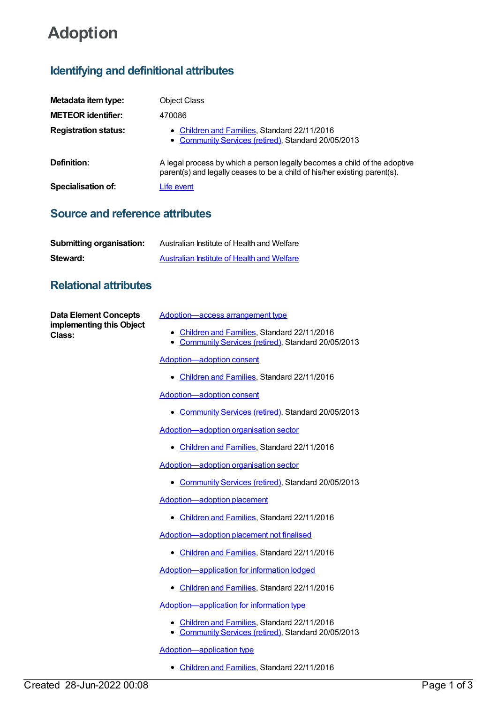# **Adoption**

## **Identifying and definitional attributes**

| Metadata item type:         | <b>Object Class</b>                                                                                                                                    |
|-----------------------------|--------------------------------------------------------------------------------------------------------------------------------------------------------|
| <b>METEOR identifier:</b>   | 470086                                                                                                                                                 |
| <b>Registration status:</b> | • Children and Families, Standard 22/11/2016<br>• Community Services (retired), Standard 20/05/2013                                                    |
| Definition:                 | A legal process by which a person legally becomes a child of the adoptive<br>parent(s) and legally ceases to be a child of his/her existing parent(s). |
| <b>Specialisation of:</b>   | Life event                                                                                                                                             |

#### **Source and reference attributes**

| <b>Submitting organisation:</b> | Australian Institute of Health and Welfare |
|---------------------------------|--------------------------------------------|
| Steward:                        | Australian Institute of Health and Welfare |

### **Relational attributes**

| Created 28-Jun-2022 00:08          | • Community Services (retired), Standard 20/05/2013<br><b>Adoption-application type</b><br>Children and Families, Standard 22/11/2016 | Page 1 of 3 |
|------------------------------------|---------------------------------------------------------------------------------------------------------------------------------------|-------------|
| implementing this Object<br>Class: | Adoption-application for information type<br>• Children and Families, Standard 22/11/2016                                             |             |
|                                    | • Children and Families, Standard 22/11/2016                                                                                          |             |
|                                    | Adoption-application for information lodged                                                                                           |             |
|                                    | • Children and Families, Standard 22/11/2016                                                                                          |             |
|                                    | Adoption-adoption placement not finalised                                                                                             |             |
|                                    | • Children and Families, Standard 22/11/2016                                                                                          |             |
|                                    | Adoption-adoption placement                                                                                                           |             |
|                                    | • Community Services (retired), Standard 20/05/2013                                                                                   |             |
|                                    | Adoption-adoption organisation sector                                                                                                 |             |
|                                    | • Children and Families, Standard 22/11/2016                                                                                          |             |
|                                    | Adoption-adoption organisation sector                                                                                                 |             |
|                                    | • Community Services (retired), Standard 20/05/2013                                                                                   |             |
|                                    | <b>Adoption-adoption consent</b>                                                                                                      |             |
|                                    | • Children and Families, Standard 22/11/2016                                                                                          |             |
|                                    | Adoption-adoption consent                                                                                                             |             |
|                                    | • Children and Families, Standard 22/11/2016<br>Community Services (retired), Standard 20/05/2013<br>$\bullet$                        |             |
| <b>Data Element Concepts</b>       | Adoption—access arrangement type                                                                                                      |             |
|                                    |                                                                                                                                       |             |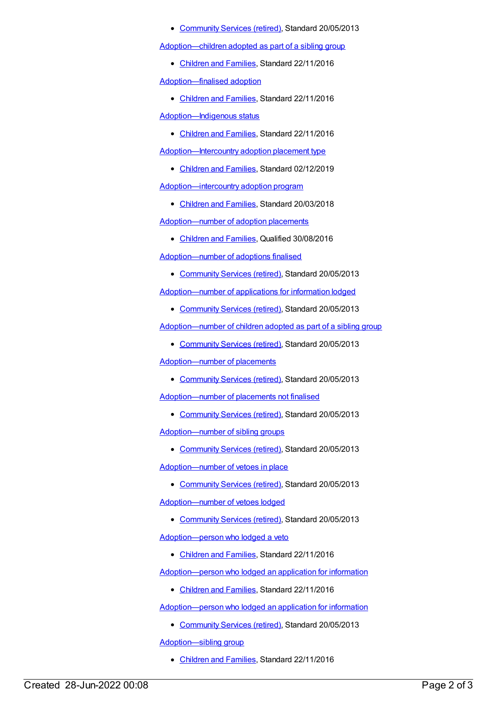#### • [Community](https://meteor.aihw.gov.au/RegistrationAuthority/1) Services (retired), Standard 20/05/2013

[Adoption—children](https://meteor.aihw.gov.au/content/650922) adopted as part of a sibling group

[Children](https://meteor.aihw.gov.au/RegistrationAuthority/17) and Families, Standard 22/11/2016

[Adoption—finalised](https://meteor.aihw.gov.au/content/650120) adoption

• [Children](https://meteor.aihw.gov.au/RegistrationAuthority/17) and Families, Standard 22/11/2016

[Adoption—Indigenous](https://meteor.aihw.gov.au/content/651226) status

[Children](https://meteor.aihw.gov.au/RegistrationAuthority/17) and Families, Standard 22/11/2016

[Adoption—Intercountry](https://meteor.aihw.gov.au/content/722799) adoption placement type

- [Children](https://meteor.aihw.gov.au/RegistrationAuthority/17) and Families, Standard 02/12/2019 [Adoption—intercountry](https://meteor.aihw.gov.au/content/687799) adoption program
	- [Children](https://meteor.aihw.gov.au/RegistrationAuthority/17) and Families, Standard 20/03/2018

[Adoption—number](https://meteor.aihw.gov.au/content/650142) of adoption placements

• [Children](https://meteor.aihw.gov.au/RegistrationAuthority/17) and Families, Qualified 30/08/2016

[Adoption—number](https://meteor.aihw.gov.au/content/482197) of adoptions finalised

[Community](https://meteor.aihw.gov.au/RegistrationAuthority/1) Services (retired), Standard 20/05/2013

[Adoption—number](https://meteor.aihw.gov.au/content/475515) of applications for information lodged

• [Community](https://meteor.aihw.gov.au/RegistrationAuthority/1) Services (retired), Standard 20/05/2013

[Adoption—number](https://meteor.aihw.gov.au/content/475369) of children adopted as part of a sibling group

[Community](https://meteor.aihw.gov.au/RegistrationAuthority/1) Services (retired), Standard 20/05/2013

[Adoption—number](https://meteor.aihw.gov.au/content/470111) of placements

• [Community](https://meteor.aihw.gov.au/RegistrationAuthority/1) Services (retired), Standard 20/05/2013

[Adoption—number](https://meteor.aihw.gov.au/content/475817) of placements not finalised

• [Community](https://meteor.aihw.gov.au/RegistrationAuthority/1) Services (retired), Standard 20/05/2013

[Adoption—number](https://meteor.aihw.gov.au/content/468603) of sibling groups

• [Community](https://meteor.aihw.gov.au/RegistrationAuthority/1) Services (retired), Standard 20/05/2013

[Adoption—number](https://meteor.aihw.gov.au/content/512905) of vetoes in place

• [Community](https://meteor.aihw.gov.au/RegistrationAuthority/1) Services (retired), Standard 20/05/2013

[Adoption—number](https://meteor.aihw.gov.au/content/475838) of vetoes lodged

• [Community](https://meteor.aihw.gov.au/RegistrationAuthority/1) Services (retired), Standard 20/05/2013

[Adoption—person](https://meteor.aihw.gov.au/content/653307) who lodged a veto

[Children](https://meteor.aihw.gov.au/RegistrationAuthority/17) and Families, Standard 22/11/2016

[Adoption—person](https://meteor.aihw.gov.au/content/651513) who lodged an application for information

• [Children](https://meteor.aihw.gov.au/RegistrationAuthority/17) and Families, Standard 22/11/2016

[Adoption—person](https://meteor.aihw.gov.au/content/470488) who lodged an application for information

[Community](https://meteor.aihw.gov.au/RegistrationAuthority/1) Services (retired), Standard 20/05/2013

[Adoption—sibling](https://meteor.aihw.gov.au/content/650954) group

[Children](https://meteor.aihw.gov.au/RegistrationAuthority/17) and Families, Standard 22/11/2016